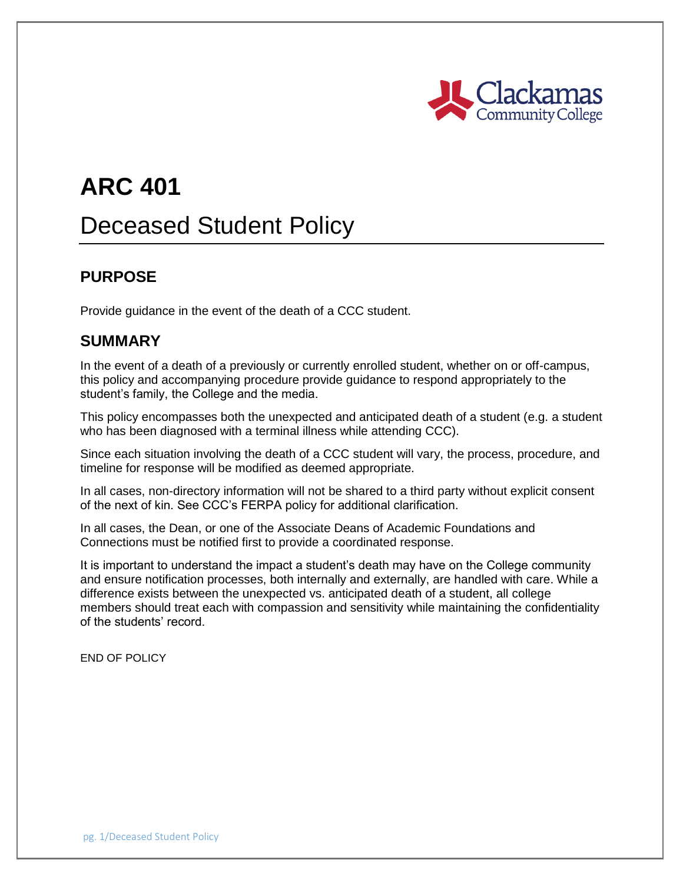

# **ARC 401**

## Deceased Student Policy

#### **PURPOSE**

Provide guidance in the event of the death of a CCC student.

#### **SUMMARY**

In the event of a death of a previously or currently enrolled student, whether on or off-campus, this policy and accompanying procedure provide guidance to respond appropriately to the student's family, the College and the media.

This policy encompasses both the unexpected and anticipated death of a student (e.g. a student who has been diagnosed with a terminal illness while attending CCC).

Since each situation involving the death of a CCC student will vary, the process, procedure, and timeline for response will be modified as deemed appropriate.

In all cases, non-directory information will not be shared to a third party without explicit consent of the next of kin. See CCC's FERPA policy for additional clarification.

In all cases, the Dean, or one of the Associate Deans of Academic Foundations and Connections must be notified first to provide a coordinated response.

It is important to understand the impact a student's death may have on the College community and ensure notification processes, both internally and externally, are handled with care. While a difference exists between the unexpected vs. anticipated death of a student, all college members should treat each with compassion and sensitivity while maintaining the confidentiality of the students' record.

END OF POLICY